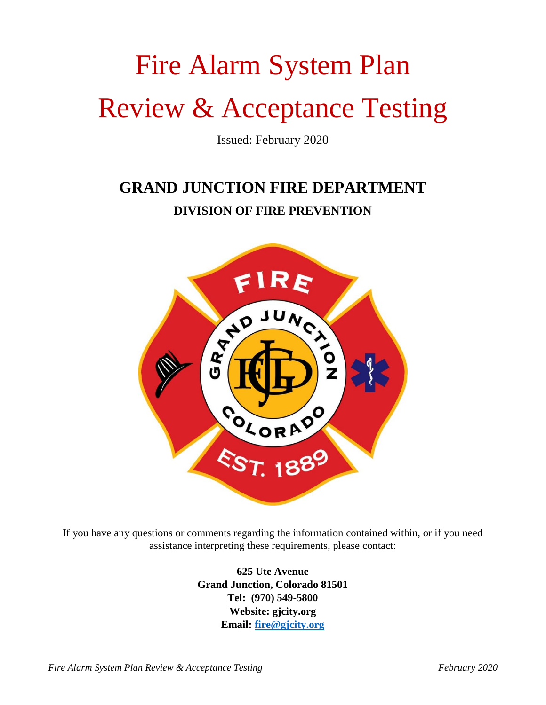# Fire Alarm System Plan Review & Acceptance Testing

Issued: February 2020

## **GRAND JUNCTION FIRE DEPARTMENT DIVISION OF FIRE PREVENTION**



If you have any questions or comments regarding the information contained within, or if you need assistance interpreting these requirements, please contact:

> **625 Ute Avenue Grand Junction, Colorado 81501 Tel: (970) 549-5800 Website: gjcity.org Email: [fire@gjcity.org](mailto:fire@gjcity.org)**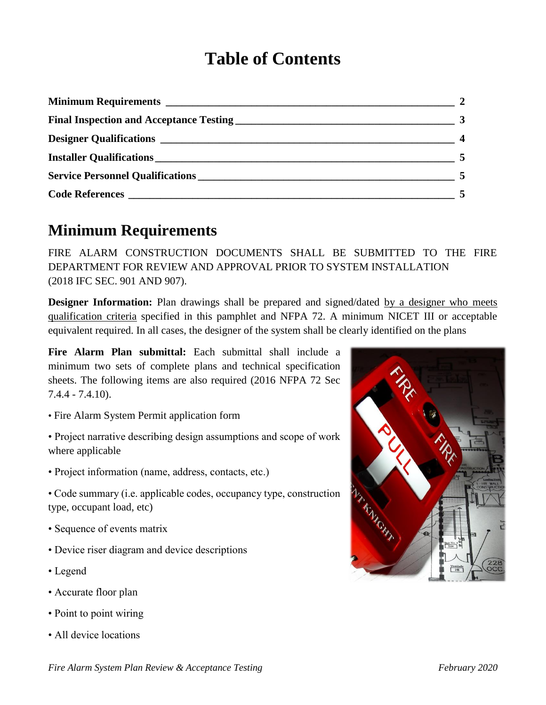## **Table of Contents**

|                                         | $\sim$ 2                |
|-----------------------------------------|-------------------------|
|                                         | $\overline{\mathbf{3}}$ |
|                                         | $\overline{\mathbf{4}}$ |
|                                         |                         |
| <b>Service Personnel Qualifications</b> |                         |
|                                         |                         |

#### **Minimum Requirements**

FIRE ALARM CONSTRUCTION DOCUMENTS SHALL BE SUBMITTED TO THE FIRE DEPARTMENT FOR REVIEW AND APPROVAL PRIOR TO SYSTEM INSTALLATION (2018 IFC SEC. 901 AND 907).

**Designer Information:** Plan drawings shall be prepared and signed/dated by a designer who meets qualification criteria specified in this pamphlet and NFPA 72. A minimum NICET III or acceptable equivalent required. In all cases, the designer of the system shall be clearly identified on the plans

**Fire Alarm Plan submittal:** Each submittal shall include a minimum two sets of complete plans and technical specification sheets. The following items are also required (2016 NFPA 72 Sec 7.4.4 - 7.4.10).

- Fire Alarm System Permit application form
- Project narrative describing design assumptions and scope of work where applicable
- Project information (name, address, contacts, etc.)
- Code summary (i.e. applicable codes, occupancy type, construction type, occupant load, etc)
- Sequence of events matrix
- Device riser diagram and device descriptions
- Legend
- Accurate floor plan
- Point to point wiring
- All device locations

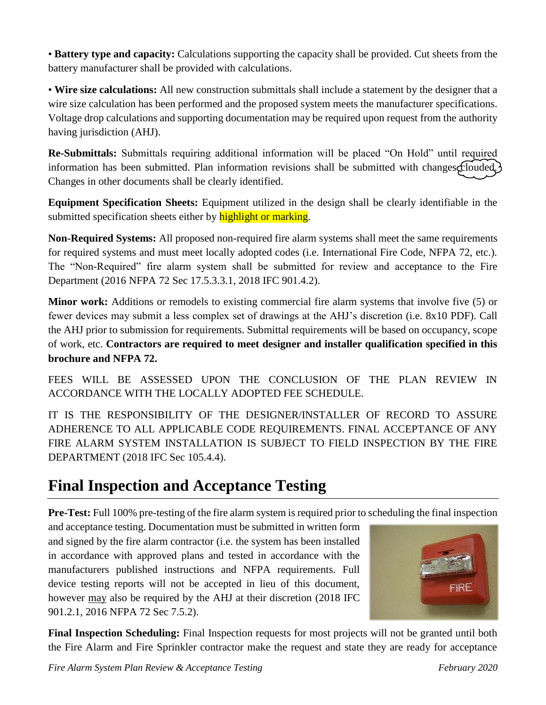• **Battery type and capacity:** Calculations supporting the capacity shall be provided. Cut sheets from the battery manufacturer shall be provided with calculations.

• **Wire size calculations:** All new construction submittals shall include a statement by the designer that a wire size calculation has been performed and the proposed system meets the manufacturer specifications. Voltage drop calculations and supporting documentation may be required upon request from the authority having jurisdiction (AHJ).

**Re-Submittals:** Submittals requiring additional information will be placed "On Hold" until required information has been submitted. Plan information revisions shall be submitted with changes clouded. Changes in other documents shall be clearly identified.

**Equipment Specification Sheets:** Equipment utilized in the design shall be clearly identifiable in the submitted specification sheets either by highlight or marking.

**Non-Required Systems:** All proposed non-required fire alarm systems shall meet the same requirements for required systems and must meet locally adopted codes (i.e. International Fire Code, NFPA 72, etc.). The "Non-Required" fire alarm system shall be submitted for review and acceptance to the Fire Department (2016 NFPA 72 Sec 17.5.3.3.1, 2018 IFC 901.4.2).

**Minor work:** Additions or remodels to existing commercial fire alarm systems that involve five (5) or fewer devices may submit a less complex set of drawings at the AHJ's discretion (i.e. 8x10 PDF). Call the AHJ prior to submission for requirements. Submittal requirements will be based on occupancy, scope of work, etc. **Contractors are required to meet designer and installer qualification specified in this brochure and NFPA 72.**

FEES WILL BE ASSESSED UPON THE CONCLUSION OF THE PLAN REVIEW IN ACCORDANCE WITH THE LOCALLY ADOPTED FEE SCHEDULE.

IT IS THE RESPONSIBILITY OF THE DESIGNER/INSTALLER OF RECORD TO ASSURE ADHERENCE TO ALL APPLICABLE CODE REQUIREMENTS. FINAL ACCEPTANCE OF ANY FIRE ALARM SYSTEM INSTALLATION IS SUBJECT TO FIELD INSPECTION BY THE FIRE DEPARTMENT (2018 IFC Sec 105.4.4).

#### **Final Inspection and Acceptance Testing**

**Pre-Test:** Full 100% pre-testing of the fire alarm system is required prior to scheduling the final inspection

and acceptance testing. Documentation must be submitted in written form and signed by the fire alarm contractor (i.e. the system has been installed in accordance with approved plans and tested in accordance with the manufacturers published instructions and NFPA requirements. Full device testing reports will not be accepted in lieu of this document, however may also be required by the AHJ at their discretion (2018 IFC 901.2.1, 2016 NFPA 72 Sec 7.5.2).



**Final Inspection Scheduling:** Final Inspection requests for most projects will not be granted until both the Fire Alarm and Fire Sprinkler contractor make the request and state they are ready for acceptance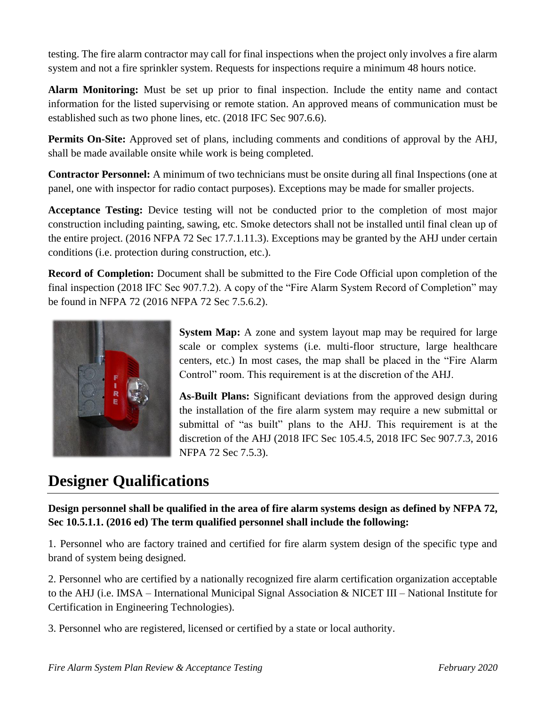testing. The fire alarm contractor may call for final inspections when the project only involves a fire alarm system and not a fire sprinkler system. Requests for inspections require a minimum 48 hours notice.

**Alarm Monitoring:** Must be set up prior to final inspection. Include the entity name and contact information for the listed supervising or remote station. An approved means of communication must be established such as two phone lines, etc. (2018 IFC Sec 907.6.6).

**Permits On-Site:** Approved set of plans, including comments and conditions of approval by the AHJ, shall be made available onsite while work is being completed.

**Contractor Personnel:** A minimum of two technicians must be onsite during all final Inspections (one at panel, one with inspector for radio contact purposes). Exceptions may be made for smaller projects.

**Acceptance Testing:** Device testing will not be conducted prior to the completion of most major construction including painting, sawing, etc. Smoke detectors shall not be installed until final clean up of the entire project. (2016 NFPA 72 Sec 17.7.1.11.3). Exceptions may be granted by the AHJ under certain conditions (i.e. protection during construction, etc.).

**Record of Completion:** Document shall be submitted to the Fire Code Official upon completion of the final inspection (2018 IFC Sec 907.7.2). A copy of the "Fire Alarm System Record of Completion" may be found in NFPA 72 (2016 NFPA 72 Sec 7.5.6.2).



**System Map:** A zone and system layout map may be required for large scale or complex systems (i.e. multi-floor structure, large healthcare centers, etc.) In most cases, the map shall be placed in the "Fire Alarm Control" room. This requirement is at the discretion of the AHJ.

**As-Built Plans:** Significant deviations from the approved design during the installation of the fire alarm system may require a new submittal or submittal of "as built" plans to the AHJ. This requirement is at the discretion of the AHJ (2018 IFC Sec 105.4.5, 2018 IFC Sec 907.7.3, 2016 NFPA 72 Sec 7.5.3).

#### **Designer Qualifications**

**Design personnel shall be qualified in the area of fire alarm systems design as defined by NFPA 72, Sec 10.5.1.1. (2016 ed) The term qualified personnel shall include the following:**

1. Personnel who are factory trained and certified for fire alarm system design of the specific type and brand of system being designed.

2. Personnel who are certified by a nationally recognized fire alarm certification organization acceptable to the AHJ (i.e. IMSA – International Municipal Signal Association & NICET III – National Institute for Certification in Engineering Technologies).

3. Personnel who are registered, licensed or certified by a state or local authority.